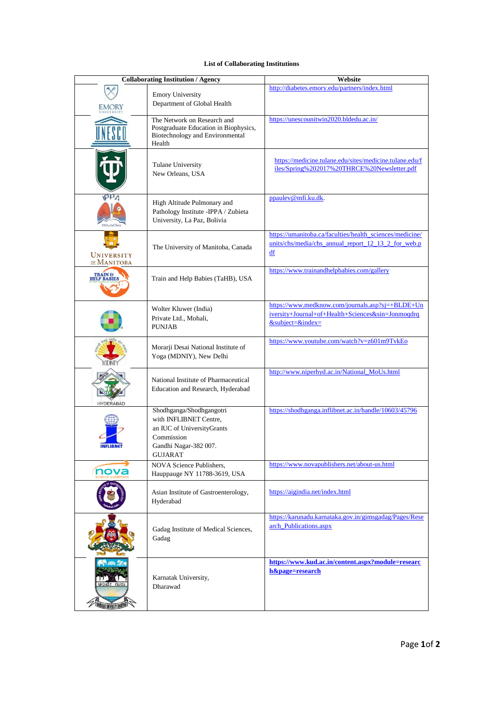## **List of Collaborating Institutions**

| <b>Collaborating Institution / Agency</b> |                                                                                                                                    | Website                                                                                                                          |
|-------------------------------------------|------------------------------------------------------------------------------------------------------------------------------------|----------------------------------------------------------------------------------------------------------------------------------|
| <b>EMORY</b>                              | <b>Emory University</b><br>Department of Global Health                                                                             | http://diabetes.emory.edu/partners/index.html                                                                                    |
|                                           | The Network on Research and<br>Postgraduate Education in Biophysics,<br>Biotechnology and Environmental<br>Health                  | https://unescounitwin2020.bldedu.ac.in/                                                                                          |
|                                           | Tulane University<br>New Orleans, USA                                                                                              | https://medicine.tulane.edu/sites/medicine.tulane.edu/f<br>iles/Spring%202017%20THRCE%20Newsletter.pdf                           |
| <b>AltitudeClini</b>                      | High Altitude Pulmonary and<br>Pathology Institute -IPPA / Zubieta<br>University, La Paz, Bolivia                                  | ppaulev@mfi.ku.dk.                                                                                                               |
| UNIVERSITY<br>OF MANITOBA                 | The University of Manitoba, Canada                                                                                                 | https://umanitoba.ca/faculties/health_sciences/medicine/<br>units/chs/media/chs_annual_report_12_13_2_for_web.p<br>df            |
|                                           | Train and Help Babies (TaHB), USA                                                                                                  | https://www.trainandhelpbabies.com/gallery                                                                                       |
|                                           | Wolter Kluwer (India)<br>Private Ltd., Mohali,<br><b>PUNJAB</b>                                                                    | https://www.medknow.com/journals.asp?sj=+BLDE+Un<br>iversity+Journal+of+Health+Sciences&sin=Jonmoqdrq<br>$&$ subject= $&$ index= |
|                                           | Morarji Desai National Institute of<br>Yoga (MDNIY), New Delhi                                                                     | https://www.youtube.com/watch?v=z601m9TvkEo                                                                                      |
| HYDERARAD                                 | National Institute of Pharmaceutical<br>Education and Research, Hyderabad                                                          | http://www.niperhyd.ac.in/National_MoUs.html                                                                                     |
| <b>INFLIBNET</b>                          | Shodhganga/Shodhgangotri<br>with INFLIBNET Centre,<br>an IUC of UniversityGrants<br>Commission<br>Gandhi Nagar-382 007.<br>GUJARAT | https://shodhganga.inflibnet.ac.in/handle/10603/45796                                                                            |
| nova                                      | <b>NOVA Science Publishers,</b><br>Hauppauge NY 11788-3619, USA                                                                    | https://www.novapublishers.net/about-us.html                                                                                     |
|                                           | Asian Institute of Gastroenterology,<br>Hyderabad                                                                                  | https://aigindia.net/index.html                                                                                                  |
|                                           | Gadag Institute of Medical Sciences,<br>Gadag                                                                                      | https://karunadu.karnataka.gov.in/gimsgadag/Pages/Rese<br>arch_Publications.aspx                                                 |
| <b><i>ANNATAK UNIVERSITY DHARE</i></b>    | Karnatak University,<br>Dharawad                                                                                                   | https://www.kud.ac.in/content.aspx?module=researc<br>h&page=research                                                             |